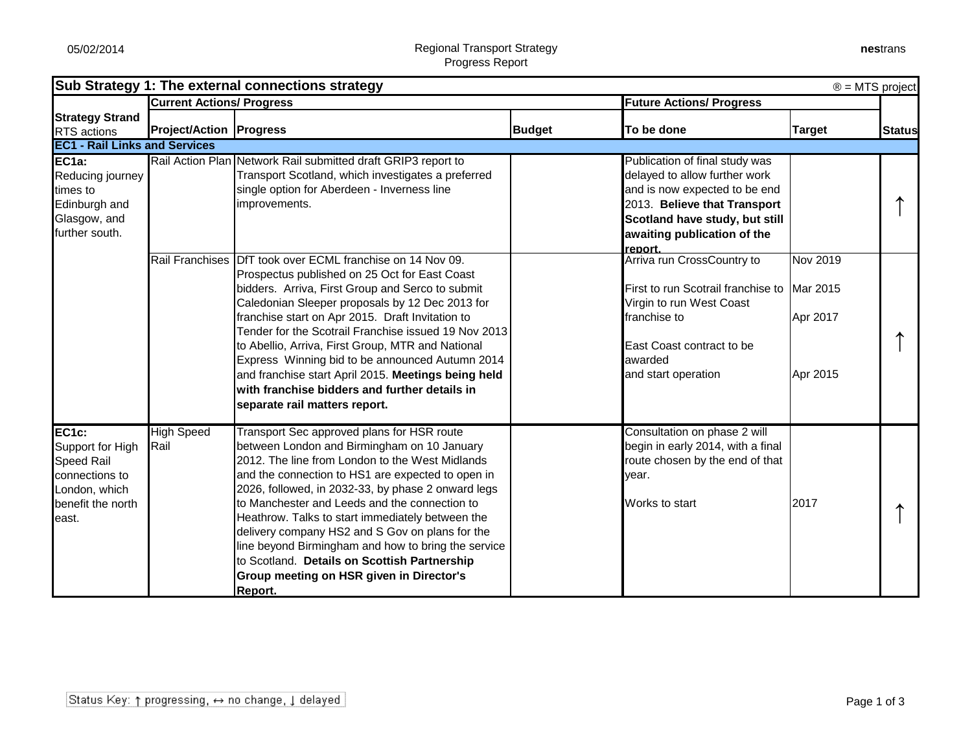| Sub Strategy 1: The external connections strategy<br>$\circledR$ = MTS project                                       |                                  |                                                                                                                                                                                                                                                                                                                                                                                                                                                                                                                                                                                 |               |                                                                                                                                                                                                              |                                                     |               |
|----------------------------------------------------------------------------------------------------------------------|----------------------------------|---------------------------------------------------------------------------------------------------------------------------------------------------------------------------------------------------------------------------------------------------------------------------------------------------------------------------------------------------------------------------------------------------------------------------------------------------------------------------------------------------------------------------------------------------------------------------------|---------------|--------------------------------------------------------------------------------------------------------------------------------------------------------------------------------------------------------------|-----------------------------------------------------|---------------|
|                                                                                                                      | <b>Current Actions/ Progress</b> |                                                                                                                                                                                                                                                                                                                                                                                                                                                                                                                                                                                 |               | <b>Future Actions/ Progress</b>                                                                                                                                                                              |                                                     |               |
| <b>Strategy Strand</b><br>RTS actions                                                                                | <b>Project/Action Progress</b>   |                                                                                                                                                                                                                                                                                                                                                                                                                                                                                                                                                                                 | <b>Budget</b> | To be done                                                                                                                                                                                                   | <b>Target</b>                                       | <b>Status</b> |
| <b>EC1 - Rail Links and Services</b>                                                                                 |                                  |                                                                                                                                                                                                                                                                                                                                                                                                                                                                                                                                                                                 |               |                                                                                                                                                                                                              |                                                     |               |
| EC <sub>1a:</sub><br>Reducing journey<br>times to<br>Edinburgh and<br>Glasgow, and<br>further south.                 |                                  | Rail Action Plan Network Rail submitted draft GRIP3 report to<br>Transport Scotland, which investigates a preferred<br>single option for Aberdeen - Inverness line<br>improvements.                                                                                                                                                                                                                                                                                                                                                                                             |               | Publication of final study was<br>delayed to allow further work<br>and is now expected to be end<br>2013. Believe that Transport<br>Scotland have study, but still<br>awaiting publication of the<br>report. |                                                     |               |
|                                                                                                                      |                                  | Rail Franchises DfT took over ECML franchise on 14 Nov 09.<br>Prospectus published on 25 Oct for East Coast<br>bidders. Arriva, First Group and Serco to submit<br>Caledonian Sleeper proposals by 12 Dec 2013 for<br>franchise start on Apr 2015. Draft Invitation to<br>Tender for the Scotrail Franchise issued 19 Nov 2013<br>to Abellio, Arriva, First Group, MTR and National<br>Express Winning bid to be announced Autumn 2014<br>and franchise start April 2015. Meetings being held<br>with franchise bidders and further details in<br>separate rail matters report. |               | Arriva run CrossCountry to<br>First to run Scotrail franchise to<br>Virgin to run West Coast<br>franchise to<br>East Coast contract to be<br>awarded<br>and start operation                                  | <b>Nov 2019</b><br>Mar 2015<br>Apr 2017<br>Apr 2015 |               |
| EC <sub>1c:</sub><br>Support for High<br>Speed Rail<br>connections to<br>London, which<br>benefit the north<br>east. | <b>High Speed</b><br>Rail        | Transport Sec approved plans for HSR route<br>between London and Birmingham on 10 January<br>2012. The line from London to the West Midlands<br>and the connection to HS1 are expected to open in<br>2026, followed, in 2032-33, by phase 2 onward legs<br>to Manchester and Leeds and the connection to<br>Heathrow. Talks to start immediately between the<br>delivery company HS2 and S Gov on plans for the<br>line beyond Birmingham and how to bring the service<br>to Scotland. Details on Scottish Partnership<br>Group meeting on HSR given in Director's<br>Report.   |               | Consultation on phase 2 will<br>begin in early 2014, with a final<br>route chosen by the end of that<br>year.<br>Works to start                                                                              | 2017                                                |               |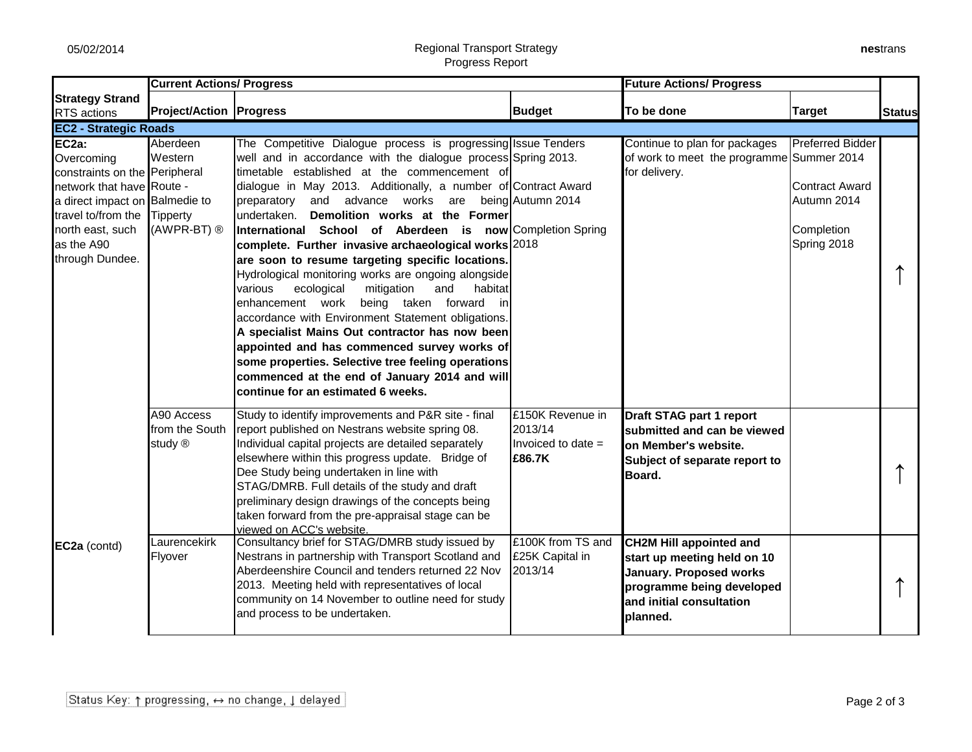## 05/02/2014 Regional Transport Strategy Progress Report

| nestrans |
|----------|
|----------|

|                                                                                                                                                                                                | <b>Current Actions/ Progress</b>                        |                                                                                                                                                                                                                                                                                                                                                                                                                                                                                                                                                                                                                                                                                                                                                                                                                                                                                                                                                                                                        |                                                                                    | <b>Future Actions/ Progress</b>                                                                                                                              |                                                                                                             |               |  |
|------------------------------------------------------------------------------------------------------------------------------------------------------------------------------------------------|---------------------------------------------------------|--------------------------------------------------------------------------------------------------------------------------------------------------------------------------------------------------------------------------------------------------------------------------------------------------------------------------------------------------------------------------------------------------------------------------------------------------------------------------------------------------------------------------------------------------------------------------------------------------------------------------------------------------------------------------------------------------------------------------------------------------------------------------------------------------------------------------------------------------------------------------------------------------------------------------------------------------------------------------------------------------------|------------------------------------------------------------------------------------|--------------------------------------------------------------------------------------------------------------------------------------------------------------|-------------------------------------------------------------------------------------------------------------|---------------|--|
| <b>Strategy Strand</b><br>RTS actions                                                                                                                                                          | <b>Project/Action Progress</b>                          |                                                                                                                                                                                                                                                                                                                                                                                                                                                                                                                                                                                                                                                                                                                                                                                                                                                                                                                                                                                                        | <b>Budget</b>                                                                      | To be done                                                                                                                                                   | <b>Target</b>                                                                                               | <b>Status</b> |  |
| <b>EC2 - Strategic Roads</b>                                                                                                                                                                   |                                                         |                                                                                                                                                                                                                                                                                                                                                                                                                                                                                                                                                                                                                                                                                                                                                                                                                                                                                                                                                                                                        |                                                                                    |                                                                                                                                                              |                                                                                                             |               |  |
| EC2a:<br>Overcoming<br>constraints on the Peripheral<br>network that have Route -<br>a direct impact on Balmedie to<br>travel to/from the<br>north east, such<br>as the A90<br>through Dundee. | Aberdeen<br>Western<br>Tipperty<br>(AWPR-BT) ®          | The Competitive Dialogue process is progressing Issue Tenders<br>well and in accordance with the dialogue process Spring 2013.<br>timetable established at the commencement of<br>dialogue in May 2013. Additionally, a number of Contract Award<br>and advance works are being Autumn 2014<br>preparatory<br>Demolition works at the Former<br>undertaken.<br>International School of Aberdeen is now Completion Spring<br>complete. Further invasive archaeological works 2018<br>are soon to resume targeting specific locations.<br>Hydrological monitoring works are ongoing alongside<br>various<br>ecological<br>mitigation<br>habitat<br>and<br>being taken forward in<br>enhancement work<br>accordance with Environment Statement obligations.<br>A specialist Mains Out contractor has now been<br>appointed and has commenced survey works of<br>some properties. Selective tree feeling operations<br>commenced at the end of January 2014 and will<br>continue for an estimated 6 weeks. |                                                                                    | Continue to plan for packages<br>of work to meet the programme<br>for delivery.                                                                              | <b>Preferred Bidder</b><br>Summer 2014<br><b>Contract Award</b><br>Autumn 2014<br>Completion<br>Spring 2018 |               |  |
| EC2a (contd)                                                                                                                                                                                   | A90 Access<br>from the South<br>study ®<br>Laurencekirk | Study to identify improvements and P&R site - final<br>report published on Nestrans website spring 08.<br>Individual capital projects are detailed separately<br>elsewhere within this progress update. Bridge of<br>Dee Study being undertaken in line with<br>STAG/DMRB. Full details of the study and draft<br>preliminary design drawings of the concepts being<br>taken forward from the pre-appraisal stage can be<br>viewed on ACC's website.<br>Consultancy brief for STAG/DMRB study issued by                                                                                                                                                                                                                                                                                                                                                                                                                                                                                                | £150K Revenue in<br>2013/14<br>Invoiced to date $=$<br>£86.7K<br>£100K from TS and | Draft STAG part 1 report<br>submitted and can be viewed<br>on Member's website.<br>Subject of separate report to<br>Board.<br><b>CH2M Hill appointed and</b> |                                                                                                             |               |  |
|                                                                                                                                                                                                | Flyover                                                 | Nestrans in partnership with Transport Scotland and<br>Aberdeenshire Council and tenders returned 22 Nov<br>2013. Meeting held with representatives of local<br>community on 14 November to outline need for study<br>and process to be undertaken.                                                                                                                                                                                                                                                                                                                                                                                                                                                                                                                                                                                                                                                                                                                                                    | £25K Capital in<br>2013/14                                                         | start up meeting held on 10<br><b>January. Proposed works</b><br>programme being developed<br>and initial consultation<br><b>Iplanned.</b>                   |                                                                                                             |               |  |